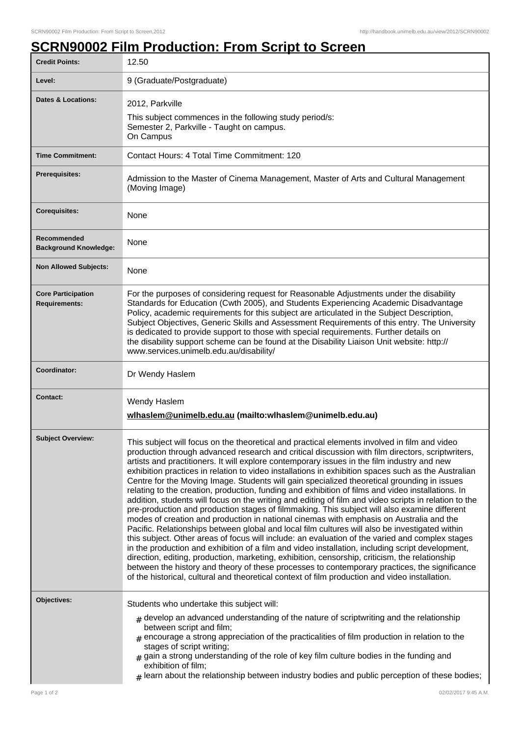## **SCRN90002 Film Production: From Script to Screen**

| <b>Credit Points:</b>                             | 12.50                                                                                                                                                                                                                                                                                                                                                                                                                                                                                                                                                                                                                                                                                                                                                                                                                                                                                                                                                                                                                                                                                                                                                                                                                                                                                                                                                                                                                                                                                                                        |
|---------------------------------------------------|------------------------------------------------------------------------------------------------------------------------------------------------------------------------------------------------------------------------------------------------------------------------------------------------------------------------------------------------------------------------------------------------------------------------------------------------------------------------------------------------------------------------------------------------------------------------------------------------------------------------------------------------------------------------------------------------------------------------------------------------------------------------------------------------------------------------------------------------------------------------------------------------------------------------------------------------------------------------------------------------------------------------------------------------------------------------------------------------------------------------------------------------------------------------------------------------------------------------------------------------------------------------------------------------------------------------------------------------------------------------------------------------------------------------------------------------------------------------------------------------------------------------------|
| Level:                                            | 9 (Graduate/Postgraduate)                                                                                                                                                                                                                                                                                                                                                                                                                                                                                                                                                                                                                                                                                                                                                                                                                                                                                                                                                                                                                                                                                                                                                                                                                                                                                                                                                                                                                                                                                                    |
| <b>Dates &amp; Locations:</b>                     | 2012, Parkville<br>This subject commences in the following study period/s:<br>Semester 2, Parkville - Taught on campus.<br>On Campus                                                                                                                                                                                                                                                                                                                                                                                                                                                                                                                                                                                                                                                                                                                                                                                                                                                                                                                                                                                                                                                                                                                                                                                                                                                                                                                                                                                         |
| <b>Time Commitment:</b>                           | Contact Hours: 4 Total Time Commitment: 120                                                                                                                                                                                                                                                                                                                                                                                                                                                                                                                                                                                                                                                                                                                                                                                                                                                                                                                                                                                                                                                                                                                                                                                                                                                                                                                                                                                                                                                                                  |
| <b>Prerequisites:</b>                             | Admission to the Master of Cinema Management, Master of Arts and Cultural Management<br>(Moving Image)                                                                                                                                                                                                                                                                                                                                                                                                                                                                                                                                                                                                                                                                                                                                                                                                                                                                                                                                                                                                                                                                                                                                                                                                                                                                                                                                                                                                                       |
| <b>Corequisites:</b>                              | None                                                                                                                                                                                                                                                                                                                                                                                                                                                                                                                                                                                                                                                                                                                                                                                                                                                                                                                                                                                                                                                                                                                                                                                                                                                                                                                                                                                                                                                                                                                         |
| Recommended<br><b>Background Knowledge:</b>       | None                                                                                                                                                                                                                                                                                                                                                                                                                                                                                                                                                                                                                                                                                                                                                                                                                                                                                                                                                                                                                                                                                                                                                                                                                                                                                                                                                                                                                                                                                                                         |
| <b>Non Allowed Subjects:</b>                      | None                                                                                                                                                                                                                                                                                                                                                                                                                                                                                                                                                                                                                                                                                                                                                                                                                                                                                                                                                                                                                                                                                                                                                                                                                                                                                                                                                                                                                                                                                                                         |
| <b>Core Participation</b><br><b>Requirements:</b> | For the purposes of considering request for Reasonable Adjustments under the disability<br>Standards for Education (Cwth 2005), and Students Experiencing Academic Disadvantage<br>Policy, academic requirements for this subject are articulated in the Subject Description,<br>Subject Objectives, Generic Skills and Assessment Requirements of this entry. The University<br>is dedicated to provide support to those with special requirements. Further details on<br>the disability support scheme can be found at the Disability Liaison Unit website: http://<br>www.services.unimelb.edu.au/disability/                                                                                                                                                                                                                                                                                                                                                                                                                                                                                                                                                                                                                                                                                                                                                                                                                                                                                                             |
| Coordinator:                                      | Dr Wendy Haslem                                                                                                                                                                                                                                                                                                                                                                                                                                                                                                                                                                                                                                                                                                                                                                                                                                                                                                                                                                                                                                                                                                                                                                                                                                                                                                                                                                                                                                                                                                              |
| Contact:                                          | Wendy Haslem<br>wlhaslem@unimelb.edu.au (mailto:wlhaslem@unimelb.edu.au)                                                                                                                                                                                                                                                                                                                                                                                                                                                                                                                                                                                                                                                                                                                                                                                                                                                                                                                                                                                                                                                                                                                                                                                                                                                                                                                                                                                                                                                     |
| <b>Subject Overview:</b>                          | This subject will focus on the theoretical and practical elements involved in film and video<br>production through advanced research and critical discussion with film directors, scriptwriters,<br>artists and practitioners. It will explore contemporary issues in the film industry and new<br>exhibition practices in relation to video installations in exhibition spaces such as the Australian<br>Centre for the Moving Image. Students will gain specialized theoretical grounding in issues<br>relating to the creation, production, funding and exhibition of films and video installations. In<br>addition, students will focus on the writing and editing of film and video scripts in relation to the<br>pre-production and production stages of filmmaking. This subject will also examine different<br>modes of creation and production in national cinemas with emphasis on Australia and the<br>Pacific. Relationships between global and local film cultures will also be investigated within<br>this subject. Other areas of focus will include: an evaluation of the varied and complex stages<br>in the production and exhibition of a film and video installation, including script development,<br>direction, editing, production, marketing, exhibition, censorship, criticism, the relationship<br>between the history and theory of these processes to contemporary practices, the significance<br>of the historical, cultural and theoretical context of film production and video installation. |
| Objectives:                                       | Students who undertake this subject will:<br>$_{\#}$ develop an advanced understanding of the nature of scriptwriting and the relationship<br>between script and film;<br>encourage a strong appreciation of the practicalities of film production in relation to the<br>stages of script writing;<br>$#$ gain a strong understanding of the role of key film culture bodies in the funding and<br>exhibition of film;<br>$#$ learn about the relationship between industry bodies and public perception of these bodies;                                                                                                                                                                                                                                                                                                                                                                                                                                                                                                                                                                                                                                                                                                                                                                                                                                                                                                                                                                                                    |